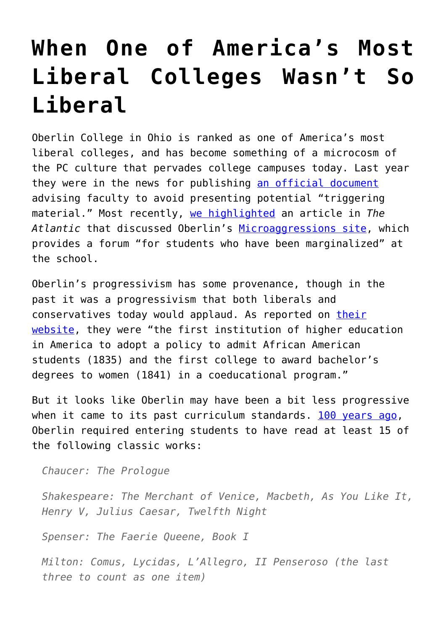## **[When One of America's Most](https://intellectualtakeout.org/2015/09/when-one-of-americas-most-liberal-colleges-wasnt-so-liberal/) [Liberal Colleges Wasn't So](https://intellectualtakeout.org/2015/09/when-one-of-americas-most-liberal-colleges-wasnt-so-liberal/) [Liberal](https://intellectualtakeout.org/2015/09/when-one-of-americas-most-liberal-colleges-wasnt-so-liberal/)**

Oberlin College in Ohio is ranked as one of America's most liberal colleges, and has become something of a microcosm of the PC culture that pervades college campuses today. Last year they were in the news for publishing [an official document](http://www.newrepublic.com/article/116842/trigger-warnings-have-spread-blogs-college-classes-thats-bad) advising faculty to avoid presenting potential "triggering material." Most recently, [we highlighted](https://www.intellectualtakeout.org/blog/emerging-victimhood-culture-scary) an article in *The Atlantic* that discussed Oberlin's [Microaggressions site,](http://obiemicroaggressions.tumblr.com/) which provides a forum "for students who have been marginalized" at the school.

Oberlin's progressivism has some provenance, though in the past it was a progressivism that both liberals and conservatives today would applaud. As reported on [their](http://new.oberlin.edu/arts-and-sciences/at-a-glance.dot) [website](http://new.oberlin.edu/arts-and-sciences/at-a-glance.dot), they were "the first institution of higher education in America to adopt a policy to admit African American students (1835) and the first college to award bachelor's degrees to women (1841) in a coeducational program."

But it looks like Oberlin may have been a bit less progressive when it came to its past curriculum standards. [100 years ago](https://books.google.com/books?id=-mHOAAAAMAAJ&printsec=frontcover#v=onepage&q&f=false), Oberlin required entering students to have read at least 15 of the following classic works:

*Chaucer: The Prologue*

*Shakespeare: The Merchant of Venice, Macbeth, As You Like It, Henry V, Julius Caesar, Twelfth Night*

*Spenser: The Faerie Queene, Book I*

*Milton: Comus, Lycidas, L'Allegro, II Penseroso (the last three to count as one item)*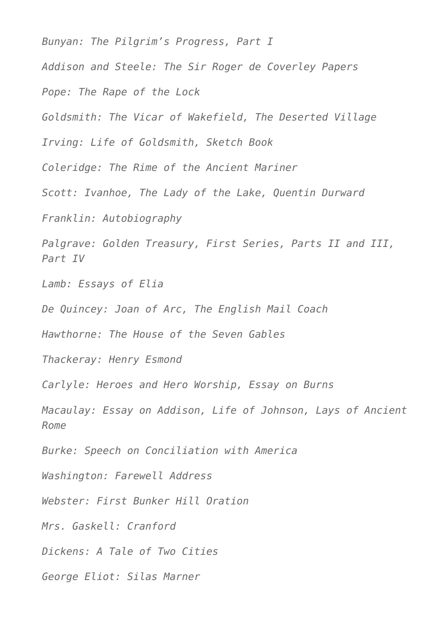*Bunyan: The Pilgrim's Progress, Part I Addison and Steele: The Sir Roger de Coverley Papers Pope: The Rape of the Lock Goldsmith: The Vicar of Wakefield, The Deserted Village Irving: Life of Goldsmith, Sketch Book Coleridge: The Rime of the Ancient Mariner Scott: Ivanhoe, The Lady of the Lake, Quentin Durward Franklin: Autobiography Palgrave: Golden Treasury, First Series, Parts II and III, Part IV Lamb: Essays of Elia De Quincey: Joan of Arc, The English Mail Coach Hawthorne: The House of the Seven Gables Thackeray: Henry Esmond Carlyle: Heroes and Hero Worship, Essay on Burns Macaulay: Essay on Addison, Life of Johnson, Lays of Ancient Rome Burke: Speech on Conciliation with America Washington: Farewell Address Webster: First Bunker Hill Oration Mrs. Gaskell: Cranford Dickens: A Tale of Two Cities George Eliot: Silas Marner*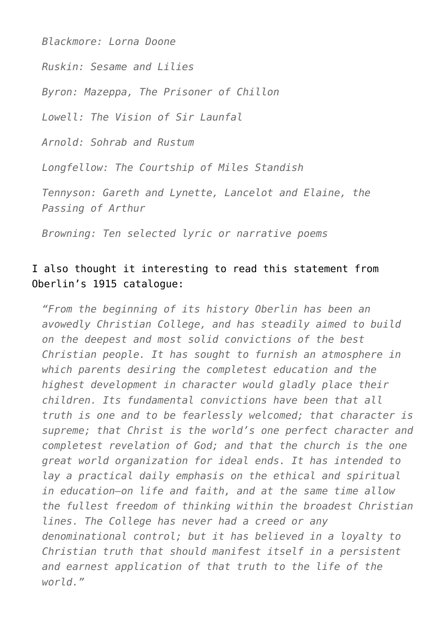*Blackmore: Lorna Doone*

*Ruskin: Sesame and Lilies*

*Byron: Mazeppa, The Prisoner of Chillon*

*Lowell: The Vision of Sir Launfal*

*Arnold: Sohrab and Rustum*

*Longfellow: The Courtship of Miles Standish*

*Tennyson: Gareth and Lynette, Lancelot and Elaine, the Passing of Arthur*

*Browning: Ten selected lyric or narrative poems*

## I also thought it interesting to read this statement from Oberlin's 1915 catalogue:

*"From the beginning of its history Oberlin has been an avowedly Christian College, and has steadily aimed to build on the deepest and most solid convictions of the best Christian people. It has sought to furnish an atmosphere in which parents desiring the completest education and the highest development in character would gladly place their children. Its fundamental convictions have been that all truth is one and to be fearlessly welcomed; that character is supreme; that Christ is the world's one perfect character and completest revelation of God; and that the church is the one great world organization for ideal ends. It has intended to lay a practical daily emphasis on the ethical and spiritual in education—on life and faith, and at the same time allow the fullest freedom of thinking within the broadest Christian lines. The College has never had a creed or any denominational control; but it has believed in a loyalty to Christian truth that should manifest itself in a persistent and earnest application of that truth to the life of the world."*